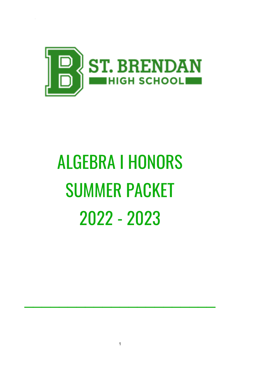

# **ALGEBRA I HONORS SUMMER PACKET** 2022 - 2023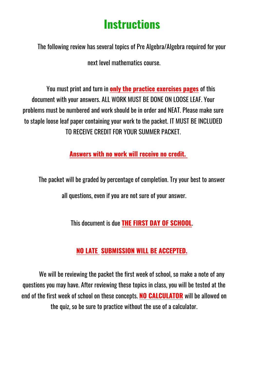## **Instructions**

The following review has several topics of Pre Algebra/Algebra required for your

next level mathematics course

You must print and turn in **only the practice exercises pages** of this document with your answers. ALL WORK MUST BE DONE ON LOOSE LEAF. Your problems must be numbered and work should be in order and NEAT. Please make sure to staple loose leaf paper containing your work to the packet. IT MUST BE INCLUDED TO RECEIVE CREDIT FOR YOUR SUMMER PACKET.

Answers with no work will receive no credit.

The packet will be graded by percentage of completion. Try your best to answer all questions, even if you are not sure of your answer.

This document is due THE FIRST DAY OF SCHOOL.

### NO LATE SUBMISSION WILL BE ACCEPTED.

We will be reviewing the packet the first week of school, so make a note of any guestions you may have. After reviewing these topics in class, you will be tested at the end of the first week of school on these concepts. NO CALCULATOR will be allowed on the quiz, so be sure to practice without the use of a calculator.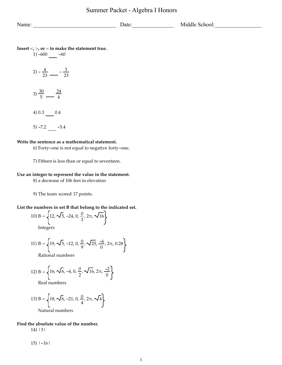Name: \_\_\_\_\_\_\_\_\_\_\_\_\_\_\_\_\_\_\_\_\_\_\_\_\_\_\_\_\_\_ Date:\_\_\_\_\_\_\_\_\_\_\_\_\_\_\_ Middle School:\_\_\_\_\_\_\_\_\_\_\_\_\_\_\_\_\_

**Insert** <**,** >**, or** = **to make the statement true.**

 $1) -600$  -60 2)  $-\frac{4}{23}$   $- \frac{3}{23}$ 3)  $\frac{30}{5}$ <u>24</u> 4 4) 0.3 0.4  $5) -7.2 -5.4$ 

#### **Write the sentence as a mathematical statement.**

6) Forty-one is not equal to negative forty-one.

7) Fifteen is less than or equal to seventeen.

#### **Use an integer to represent the value in the statement.**

8) a decrease of 106 feet in elevation

9) The team scored 17 points.

#### **List the numbers in set B that belong to the indicated set.**

10) B = 
$$
\left\{ 12, \sqrt{5}, -24, 0, \frac{0}{3}, 2\pi, \sqrt{16} \right\}
$$
  
Integers

11) B =  $\sqrt{19}$ ,  $\sqrt{5}$ , -12, 0,  $\frac{0}{0}$ 9 ,  $\sqrt{25}$ ,  $\frac{-6}{0}$ ,  $2\pi$ , 0.28

Rational numbers

12) B = 
$$
\left\{16, \sqrt{6}, -4, 0, \frac{0}{2}, \sqrt{16}, 2\pi, \frac{-2}{0}\right\}
$$

Real numbers

13) B = 
$$
\left\{ 18, \sqrt{6}, -21, 0, \frac{0}{4}, 2\pi, \sqrt{4} \right\}
$$
  
Natural numbers

#### **Find the absolute value of the number.**

14) |3|

 $15)$  |-16|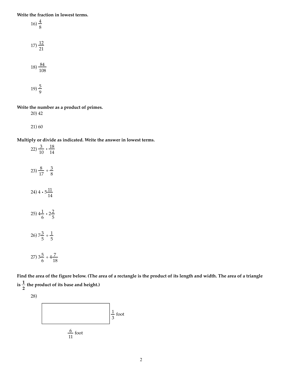**Write the fraction in lowest terms.**

16) 
$$
\frac{4}{8}
$$
  
17)  $\frac{12}{21}$   
18)  $\frac{84}{108}$   
19)  $\frac{5}{9}$ 

**Write the number as a product of primes.**

20) 42

21) 60

**Multiply or divide as indicated. Write the answer in lowest terms.**

22)  $\frac{3}{10} \cdot \frac{18}{14}$ 23)  $\frac{8}{17} \div \frac{3}{8}$ 24) 4  $\cdot$  5 $\frac{11}{11}$ 14 25)  $4\frac{1}{6} \cdot 2\frac{2}{5}$  $26)$   $7\frac{3}{5} \div \frac{1}{5}$ 27)  $3\frac{5}{6} \div 4\frac{7}{18}$ 

**Find the area of the figure below. (The area of a rectangle is the product of its length and width. The area of a triangle**  $i s \frac{1}{2}$ **2 the product of its base and height.)**



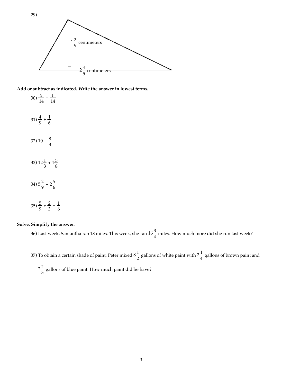

**Add or subtract as indicated. Write the answer in lowest terms.**

 $30\frac{5}{14} - \frac{1}{14}$  $(31)\frac{4}{9} + \frac{1}{6}$ 32) 10 -  $\frac{8}{3}$ 3 33)  $12\frac{1}{3} + 4\frac{5}{8}$ 34)  $5\frac{2}{9}$  –  $2\frac{5}{6}$  $(35)\frac{5}{9} + \frac{2}{3} - \frac{1}{6}$ 

#### **Solve. Simplify the answer.**

36) Last week, Samantha ran 18 miles. This week, she ran  $16\frac{3}{4}$  miles. How much more did she run last week?

37) To obtain a certain shade of paint, Peter mixed  $8\frac{1}{2}$  gallons of white paint with  $2\frac{1}{4}$  gallons of brown paint and

 $2\frac{2}{3}$  $\frac{2}{3}$  gallons of blue paint. How much paint did he have?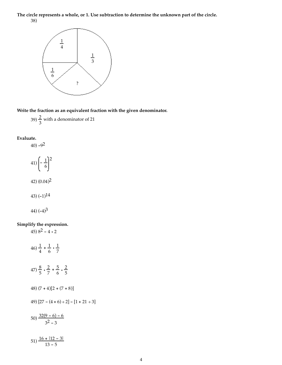**The circle represents a whole, or 1. Use subtraction to determine the unknown part of the circle.** 38)



**Write the fraction as an equivalent fraction with the given denominator.**

39)  $\frac{2}{3}$ with a denominator of 21

#### **Evaluate.**

 $(40) -9^2$ 

$$
41\left(-\frac{1}{6}\right)^{2}
$$
  

$$
42\left(0.04\right)^{2}
$$
  

$$
43\left(-1\right)^{14}
$$
  

$$
44\left(-4\right)^{3}
$$

### **Simplify the expression.**

45)  $8^2 - 4 \cdot 2$ 

46) 
$$
\frac{1}{4} + \frac{1}{6} \cdot \frac{1}{7}
$$
  
\n47)  $\frac{8}{5} \cdot \frac{2}{7} + \frac{5}{6} \cdot \frac{2}{5}$   
\n48) (7 + 4)[2 + (7 + 8)]  
\n49) [27 - (4 + 6) \div 2] - [1 + 21 \div 3]  
\n50)  $\frac{32(9 - 6) - 6}{3^2 - 3}$   
\n51)  $\frac{16 + 12 - 3}{3^2 - 5}$ 

13 - 5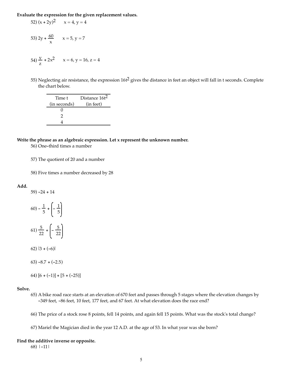**Evaluate the expression for the given replacement values.**

52) 
$$
(x + 2y)^2
$$
  $x = 4, y = 4$   
\n53)  $2y + \frac{60}{x}$   $x = 5, y = 7$   
\n54)  $\frac{y}{z} + 2x^2$   $x = 6, y = 16, z = 4$ 

55) Neglecting air resistance, the expression  $16t^2$  gives the distance in feet an object will fall in t seconds. Complete the chart below.

| Time t       | Distance 16t <sup>2</sup> |
|--------------|---------------------------|
| (in seconds) | (in feet)                 |
|              |                           |
| 7            |                           |
|              |                           |

#### **Write the phrase as an algebraic expression. Let x represent the unknown number.**

- 56) One-third times a number
- 57) The quotient of 20 and a number
- 58) Five times a number decreased by 28

#### **Add.**

59)  $-24 + 14$ 

 $(60) - \frac{1}{5} + \left(-\frac{1}{5}\right)$ 61)  $\frac{5}{22}$  +  $\left(-\frac{5}{22}\right)$ 

- 62) ∣3 + (-6)∣
- $63) -8.7 + (-2.5)$
- 64)  $[6 + (-1)] + [5 + (-25)]$

#### **Solve.**

- 65) A bike road race starts at an elevation of 670 feet and passes through 5 stages where the elevation changes by -349 feet, -86 feet, 10 feet, 177 feet, and 67 feet. At what elevation does the race end?
- 66) The price of a stock rose 8 points, fell 14 points, and again fell 15 points. What was the stock's total change?
- 67) Mariel the Magician died in the year 12 A.D. at the age of 53. In what year was she born?

#### **Find the additive inverse or opposite.**

68) |-11|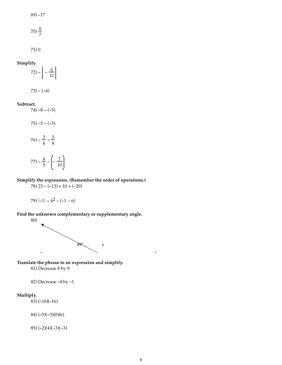69) -17

$$
70)\frac{6}{7}
$$

71) 0

Simplify.  

$$
72 - \left| -\frac{6}{11} \right|
$$

$$
73) - (-4)
$$

#### **Subtract.**

 $74) -8 - (-5)$ 

 $75) - 5 - (-5)$ 

$$
76) - \frac{3}{4} - \frac{5}{8}
$$

$$
77) - \frac{4}{5} - \left(-\frac{7}{10}\right)
$$

#### **Simplify the expression. (Remember the order of operations.)**  $78)$  23 -  $(-13) + 10 + (-20)$

79)  $|-1| - 4^2 - (-1 - 6)$ 

**Find the unknown complementary or supplementary angle.** 80)



**Translate the phrase to an expression and simplify.**

81) Decrease 8 by 9.

82) Decrease -4 by -1.

#### **Multiply.**

83) (-16)(-16)

84) (-5)(-3)(0)(6)

85) (-2)(4)(-3)(-3)

L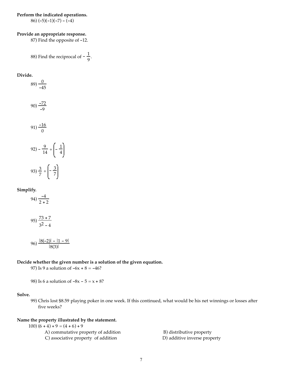#### **Perform the indicated operations.**

86)  $(-5)(-1)(-7) - (-4)$ 

#### **Provide an appropriate response.**

87) Find the opposite of -12.

88) Find the reciprocal of 
$$
-\frac{1}{9}
$$
.

**Divide.**

89) 
$$
\frac{0}{-45}
$$
  
\n90)  $\frac{-72}{-9}$   
\n91)  $\frac{-16}{0}$   
\n92)  $-\frac{9}{14} \div \left(-\frac{1}{4}\right)$   
\n93)  $\frac{3}{7} \div \left(-\frac{3}{7}\right)$ 

#### **Simplify.**

94)  $\frac{-4}{2+2}$ 

$$
95) \frac{73+7}{3^2-4}
$$

$$
96) \frac{|8(-2)| - |1 - 9|}{|8(3)|}
$$

#### **Decide whether the given number is a solution of the given equation.**

97) Is 9 a solution of  $-6x + 8 = -46$ ?

98) Is 6 a solution of  $-8x - 5 = x + 8$ ?

#### **Solve.**

99) Chris lost \$8.59 playing poker in one week. If this continued, what would be his net winnings or losses after five weeks?

#### **Name the property illustrated by the statement.**

| $(100)$ $(6 + 4) + 9 = (4 + 6) + 9$ |                              |
|-------------------------------------|------------------------------|
| A) commutative property of addition | B) distributive property     |
| C) associative property of addition | D) additive inverse property |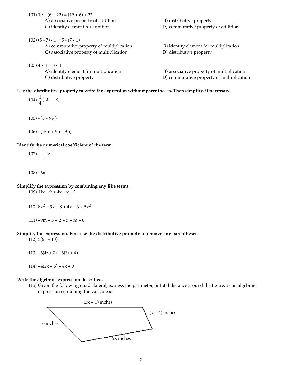101) 19 +  $(6 + 22) = (19 + 6) + 22$ A) associative property of addition B) distributive property C) identity element for addition  $D$  commutative property of addition 102)  $(5 \cdot 7) \cdot 1 = 5 \cdot (7 \cdot 1)$ A) commutative property of multiplication B) identity element for multiplication C) associative property of multiplication D) distributive property  $103)$  4 • 8 = 8 • 4 A) identity element for multiplication B) associative property of multiplication C) distributive property D) commutative property of multiplication

**Use the distributive property to write the expression without parentheses. Then simplify, if necessary.**

 $104) \frac{1}{4}$  $(12x - 8)$ 105)  $-(x - 9w)$ 

**Identify the numerical coefficient of the term.**

106)  $-(-5m + 5n - 9p)$ 

$$
107) - \frac{4}{11}z
$$

 $108 - 6x$ 

**Simplify the expression by combining any like terms.**

109)  $11x + 9 + 4x + x - 3$ 

110) 
$$
8x^2 - 9x - 8 + 4x - 6 + 5x^2
$$

111)  $-9m + 3 - 2 + 5 + m - 6$ 

#### **Simplify the expression. First use the distributive property to remove any parentheses.**

112) 5(6n - 10)

113)  $-6(4r + 7) + 6(3r + 4)$ 

114)  $-4(2x - 5) - 4x + 9$ 

#### **Write the algebraic expression described.**

115) Given the following quadrilateral, express the perimeter, or total distance around the figure, as an algebraic expression containing the variable x.

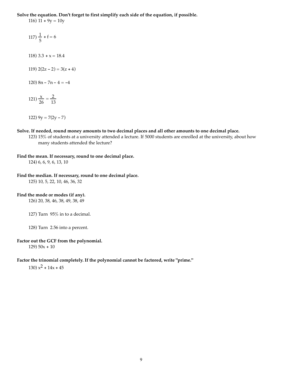**Solve the equation. Don't forget to first simplify each side of the equation, if possible.**

116)  $11 + 9y = 10y$ 

- $117) \frac{1}{5} + f = 6$ 118)  $3.3 + x = 18.4$ 119)  $2(2z - 2) = 3(z + 4)$ 120)  $8n - 7n - 4 = -4$ 121)  $\frac{x}{26} = \frac{2}{13}$ 122)  $9y = 7(2y - 7)$
- **Solve. If needed, round money amounts to two decimal places and all other amounts to one decimal place.**
	- 123) 15% of students at a university attended a lecture. If 5000 students are enrolled at the university, about how many students attended the lecture?

#### **Find the mean. If necessary, round to one decimal place.**

124) 6, 6, 9, 6, 13, 10

#### **Find the median. If necessary, round to one decimal place.**

125) 10, 5, 22, 10, 46, 36, 32

#### **Find the mode or modes (if any).**

126) 20, 38, 46, 38, 49, 38, 49

127) Turn 95% in to a decimal.

128) Turn 2.56 into a percent.

#### **Factor out the GCF from the polynomial.**

 $129) 50x + 10$ 

#### **Factor the trinomial completely. If the polynomial cannot be factored, write "prime."**

130)  $x^2$  + 14x + 45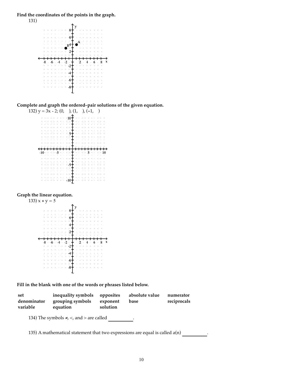**Find the coordinates of the points in the graph.**



**Complete and graph the ordered**-**pair solutions of the given equation.**



#### **Graph the linear equation.**



**Fill in the blank with one of the words or phrases listed below.**

| set<br>denominator<br>variable | inequality symbols<br>grouping symbols<br>equation   | opposites<br>exponent<br>solution | absolute value<br>base | numerator<br>reciprocals |
|--------------------------------|------------------------------------------------------|-----------------------------------|------------------------|--------------------------|
|                                | 134) The symbols $\neq$ , $\lt$ , and $>$ are called |                                   |                        |                          |

135) A mathematical statement that two expressions are equal is called  $a(n)$  .  $\qquad \qquad$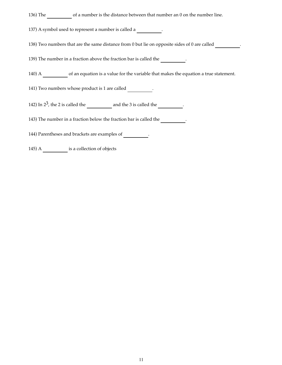136) The of a number is the distance between that number an 0 on the number line.

137) A symbol used to represent a number is called a .

138) Two numbers that are the same distance from 0 but lie on opposite sides of 0 are called \_\_\_\_\_\_\_\_\_.

139) The number in a fraction above the fraction bar is called the \_\_\_\_\_\_\_\_\_\_.

140) A  $\_\_\_\_\_\_\$  of an equation is a value for the variable that makes the equation a true statement.

141) Two numbers whose product is 1 are called .

142) In 23, the 2 is called the and the 3 is called the .

143) The number in a fraction below the fraction bar is called the .

144) Parentheses and brackets are examples of .

145) A is a collection of objects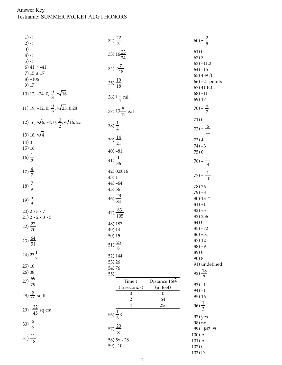# Answer Key<br>Testname: SUMMER PACKET ALG I HONORS

| 1) <                                                              | 32) $\frac{22}{3}$                                        | $(60) - \frac{2}{5}$  |
|-------------------------------------------------------------------|-----------------------------------------------------------|-----------------------|
| 2) <                                                              |                                                           |                       |
| $3) =$                                                            |                                                           | 61)0                  |
| $4$ ) <                                                           | 33) $16\frac{23}{24}$                                     | 62)3                  |
| 5) <                                                              |                                                           | $(63) - 11.2$         |
| 6) $41 \ne -41$                                                   | 34) $2\frac{7}{18}$                                       | $64) -15$             |
| 7) $15 \le 17$                                                    |                                                           | 65) 489 ft            |
| $8) - 106$                                                        | $(35)\frac{19}{18}$                                       | 66) -21 points        |
| 9) 17                                                             |                                                           | 67) 41 B.C.           |
| 10) 12, -24, 0, $\frac{0}{3}$ , $\sqrt{16}$                       |                                                           | $68) -11$             |
|                                                                   | 36) $1\frac{1}{4}$ mi                                     | 69) 17                |
| 11) 19, -12, 0, $\frac{0}{9}$ , $\sqrt{25}$ , 0.28                |                                                           | $(70) - \frac{6}{7}$  |
|                                                                   | 37) $13\frac{5}{12}$ gal                                  |                       |
| 12) 16, $\sqrt{6}$ , -4, 0, $\frac{0}{2}$ , $\sqrt{16}$ , 2 $\pi$ |                                                           | 71)0                  |
|                                                                   | $(38)\frac{1}{4}$                                         |                       |
| 13) 18, $\sqrt{4}$                                                |                                                           | $(72) - \frac{6}{11}$ |
|                                                                   | $(39)\frac{14}{21}$                                       | 73) 4                 |
| 14)3                                                              |                                                           | $74) -3$              |
| 15) 16                                                            | $40) - 81$                                                | 75) 0                 |
| $16)\frac{1}{2}$                                                  |                                                           |                       |
|                                                                   | $41)\frac{1}{36}$                                         | $(76) - \frac{11}{8}$ |
| $(17)\frac{4}{7}$                                                 | 42) 0.0016                                                |                       |
|                                                                   | 43) 1                                                     | $(77) - \frac{1}{10}$ |
|                                                                   | $44) -64$                                                 |                       |
| $(18)\frac{7}{9}$                                                 | 45) 56                                                    | 78) 26                |
|                                                                   |                                                           | $79 - 8$              |
| 19) $\frac{5}{9}$                                                 | $46)\frac{23}{84}$                                        | 80) 131 <sup>°</sup>  |
|                                                                   |                                                           | $81) - 1$             |
| $20) 2 \cdot 3 \cdot 7$                                           | $(47)\frac{83}{105}$                                      | $82) - 3$<br>83) 256  |
| $21) 2 \cdot 2 \cdot 3 \cdot 5$                                   |                                                           | 84) 0                 |
| 22) $\frac{27}{70}$                                               | 48) 187                                                   | $85) - 72$            |
|                                                                   | 49) 14                                                    | $86) -31$             |
| $(23)\frac{64}{51}$                                               | 50) 15                                                    | 87) 12                |
|                                                                   | $(51)\frac{25}{8}$                                        | $88) - 9$             |
| 24) $23\frac{1}{7}$                                               |                                                           | 89) 0                 |
|                                                                   | 52) 144                                                   | 90) 8                 |
| 25) 10                                                            | 53) 26                                                    | 91) undefined         |
| 26) 38                                                            | 54) 76<br>55)                                             | 92) $\frac{18}{7}$    |
|                                                                   |                                                           |                       |
| $(27)\frac{69}{79}$                                               | Distance 16t <sup>2</sup><br>Time t                       | $93) - 1$             |
|                                                                   | (in feet)<br>(in seconds)<br>$\boldsymbol{0}$<br>$\theta$ | $94) - 1$             |
| 28) $\frac{2}{11}$ sq ft                                          | 64<br>$\overline{2}$                                      | 95) 16                |
|                                                                   | 256<br>4                                                  | $(96)\frac{1}{3}$     |
| 29) $1\frac{32}{45}$ sq cm                                        |                                                           |                       |
|                                                                   | 56) $\frac{1}{3}x$                                        | 97) yes               |
| 30) $\frac{2}{7}$                                                 |                                                           | 98) no                |
|                                                                   | 57) $\frac{20}{x}$                                        | 99) - \$42.95         |
|                                                                   |                                                           | $100)$ A              |
| $31)\frac{11}{18}$                                                | 58) 5x - 28                                               | $101)$ A              |
|                                                                   | $59) - 10$                                                | 102) C                |

 $103) D$